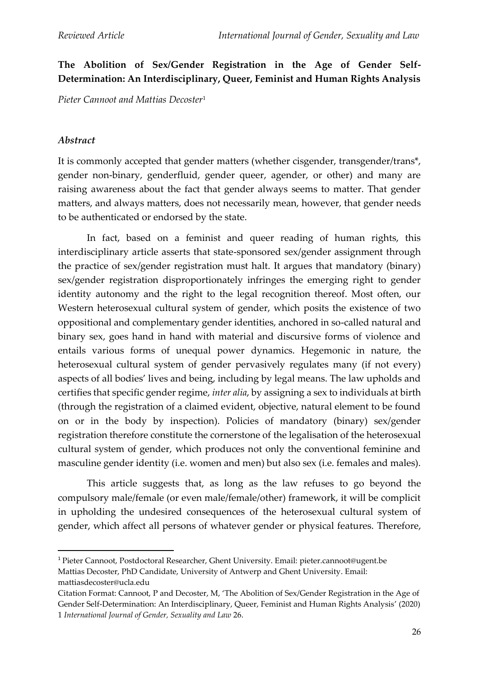# **The Abolition of Sex/Gender Registration in the Age of Gender Self-Determination: An Interdisciplinary, Queer, Feminist and Human Rights Analysis**

*Pieter Cannoot and Mattias Decoster*<sup>1</sup>

### *Abstract*

It is commonly accepted that gender matters (whether cisgender, transgender/trans\*, gender non-binary, genderfluid, gender queer, agender, or other) and many are raising awareness about the fact that gender always seems to matter. That gender matters, and always matters, does not necessarily mean, however, that gender needs to be authenticated or endorsed by the state.

In fact, based on a feminist and queer reading of human rights, this interdisciplinary article asserts that state-sponsored sex/gender assignment through the practice of sex/gender registration must halt. It argues that mandatory (binary) sex/gender registration disproportionately infringes the emerging right to gender identity autonomy and the right to the legal recognition thereof. Most often, our Western heterosexual cultural system of gender, which posits the existence of two oppositional and complementary gender identities, anchored in so-called natural and binary sex, goes hand in hand with material and discursive forms of violence and entails various forms of unequal power dynamics. Hegemonic in nature, the heterosexual cultural system of gender pervasively regulates many (if not every) aspects of all bodies' lives and being, including by legal means. The law upholds and certifies that specific gender regime, *inter alia*, by assigning a sex to individuals at birth (through the registration of a claimed evident, objective, natural element to be found on or in the body by inspection). Policies of mandatory (binary) sex/gender registration therefore constitute the cornerstone of the legalisation of the heterosexual cultural system of gender, which produces not only the conventional feminine and masculine gender identity (i.e. women and men) but also sex (i.e. females and males).

This article suggests that, as long as the law refuses to go beyond the compulsory male/female (or even male/female/other) framework, it will be complicit in upholding the undesired consequences of the heterosexual cultural system of gender, which affect all persons of whatever gender or physical features. Therefore,

<sup>1</sup> Pieter Cannoot, Postdoctoral Researcher, Ghent University. Email: pieter.cannoot@ugent.be Mattias Decoster, PhD Candidate, University of Antwerp and Ghent University. Email: mattiasdecoster@ucla.edu

Citation Format: Cannoot, P and Decoster, M, 'The Abolition of Sex/Gender Registration in the Age of Gender Self-Determination: An Interdisciplinary, Queer, Feminist and Human Rights Analysis' (2020) 1 *International Journal of Gender, Sexuality and Law* 26.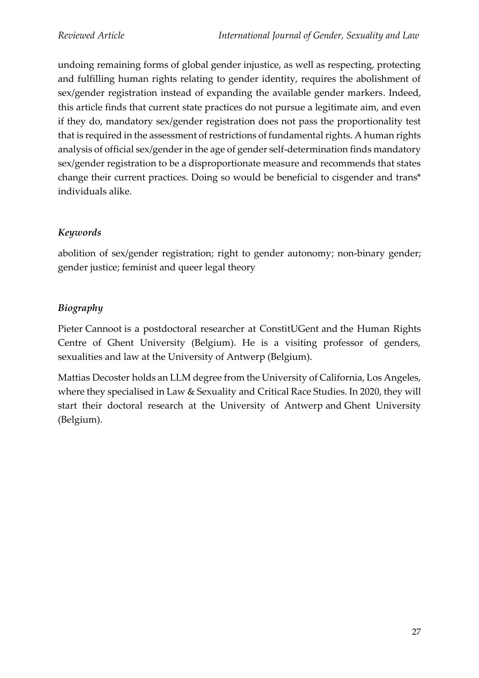undoing remaining forms of global gender injustice, as well as respecting, protecting and fulfilling human rights relating to gender identity, requires the abolishment of sex/gender registration instead of expanding the available gender markers. Indeed, this article finds that current state practices do not pursue a legitimate aim, and even if they do, mandatory sex/gender registration does not pass the proportionality test that is required in the assessment of restrictions of fundamental rights. A human rights analysis of official sex/gender in the age of gender self-determination finds mandatory sex/gender registration to be a disproportionate measure and recommends that states change their current practices. Doing so would be beneficial to cisgender and trans\* individuals alike.

# *Keywords*

abolition of sex/gender registration; right to gender autonomy; non-binary gender; gender justice; feminist and queer legal theory

## *Biography*

Pieter Cannoot is a postdoctoral researcher at ConstitUGent and the Human Rights Centre of Ghent University (Belgium). He is a visiting professor of genders, sexualities and law at the University of Antwerp (Belgium).

Mattias Decoster holds an LLM degree from the University of California, Los Angeles, where they specialised in Law & Sexuality and Critical Race Studies. In 2020, they will start their doctoral research at the University of Antwerp and Ghent University (Belgium).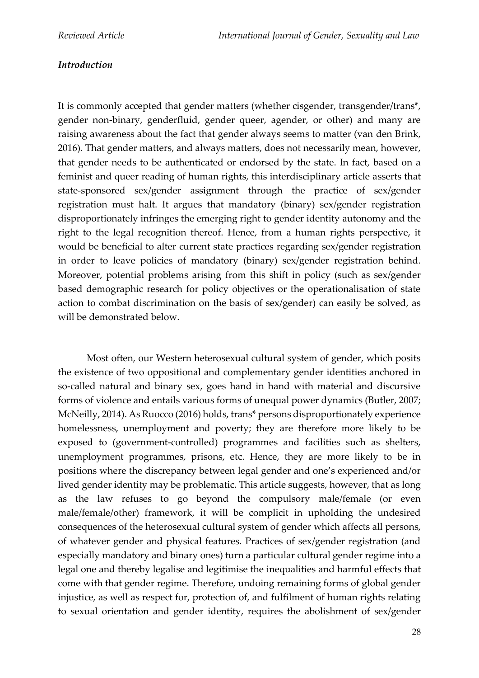## *Introduction*

It is commonly accepted that gender matters (whether cisgender, transgender/trans\*, gender non-binary, genderfluid, gender queer, agender, or other) and many are raising awareness about the fact that gender always seems to matter (van den Brink, 2016). That gender matters, and always matters, does not necessarily mean, however, that gender needs to be authenticated or endorsed by the state. In fact, based on a feminist and queer reading of human rights, this interdisciplinary article asserts that state-sponsored sex/gender assignment through the practice of sex/gender registration must halt. It argues that mandatory (binary) sex/gender registration disproportionately infringes the emerging right to gender identity autonomy and the right to the legal recognition thereof. Hence, from a human rights perspective, it would be beneficial to alter current state practices regarding sex/gender registration in order to leave policies of mandatory (binary) sex/gender registration behind. Moreover, potential problems arising from this shift in policy (such as sex/gender based demographic research for policy objectives or the operationalisation of state action to combat discrimination on the basis of sex/gender) can easily be solved, as will be demonstrated below.

Most often, our Western heterosexual cultural system of gender, which posits the existence of two oppositional and complementary gender identities anchored in so-called natural and binary sex, goes hand in hand with material and discursive forms of violence and entails various forms of unequal power dynamics (Butler, 2007; McNeilly, 2014). As Ruocco (2016) holds, trans\* persons disproportionately experience homelessness, unemployment and poverty; they are therefore more likely to be exposed to (government-controlled) programmes and facilities such as shelters, unemployment programmes, prisons, etc. Hence, they are more likely to be in positions where the discrepancy between legal gender and one's experienced and/or lived gender identity may be problematic. This article suggests, however, that as long as the law refuses to go beyond the compulsory male/female (or even male/female/other) framework, it will be complicit in upholding the undesired consequences of the heterosexual cultural system of gender which affects all persons, of whatever gender and physical features. Practices of sex/gender registration (and especially mandatory and binary ones) turn a particular cultural gender regime into a legal one and thereby legalise and legitimise the inequalities and harmful effects that come with that gender regime. Therefore, undoing remaining forms of global gender injustice, as well as respect for, protection of, and fulfilment of human rights relating to sexual orientation and gender identity, requires the abolishment of sex/gender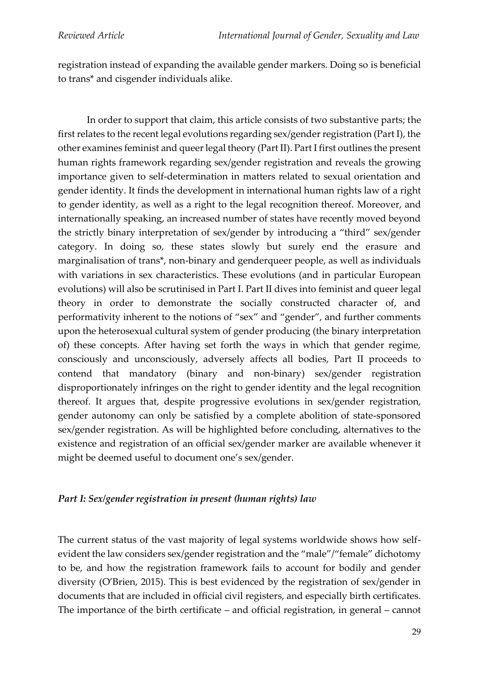registration instead of expanding the available gender markers. Doing so is beneficial to trans\* and cisgender individuals alike.

In order to support that claim, this article consists of two substantive parts; the first relates to the recent legal evolutions regarding sex/gender registration (Part I), the other examines feminist and queer legal theory (Part II). Part I first outlines the present human rights framework regarding sex/gender registration and reveals the growing importance given to self-determination in matters related to sexual orientation and gender identity. It finds the development in international human rights law of a right to gender identity, as well as a right to the legal recognition thereof. Moreover, and internationally speaking, an increased number of states have recently moved beyond the strictly binary interpretation of sex/gender by introducing a "third" sex/gender category. In doing so, these states slowly but surely end the erasure and marginalisation of trans\*, non-binary and genderqueer people, as well as individuals with variations in sex characteristics. These evolutions (and in particular European evolutions) will also be scrutinised in Part I. Part II dives into feminist and queer legal theory in order to demonstrate the socially constructed character of, and performativity inherent to the notions of "sex" and "gender", and further comments upon the heterosexual cultural system of gender producing (the binary interpretation of) these concepts. After having set forth the ways in which that gender regime, consciously and unconsciously, adversely affects all bodies, Part II proceeds to contend that mandatory (binary and non-binary) sex/gender registration disproportionately infringes on the right to gender identity and the legal recognition thereof. It argues that, despite progressive evolutions in sex/gender registration, gender autonomy can only be satisfied by a complete abolition of state-sponsored sex/gender registration. As will be highlighted before concluding, alternatives to the existence and registration of an official sex/gender marker are available whenever it might be deemed useful to document one's sex/gender.

### *Part I: Sex/gender registration in present (human rights) law*

The current status of the vast majority of legal systems worldwide shows how selfevident the law considers sex/gender registration and the "male"/"female" dichotomy to be, and how the registration framework fails to account for bodily and gender diversity (O'Brien, 2015). This is best evidenced by the registration of sex/gender in documents that are included in official civil registers, and especially birth certificates. The importance of the birth certificate – and official registration, in general – cannot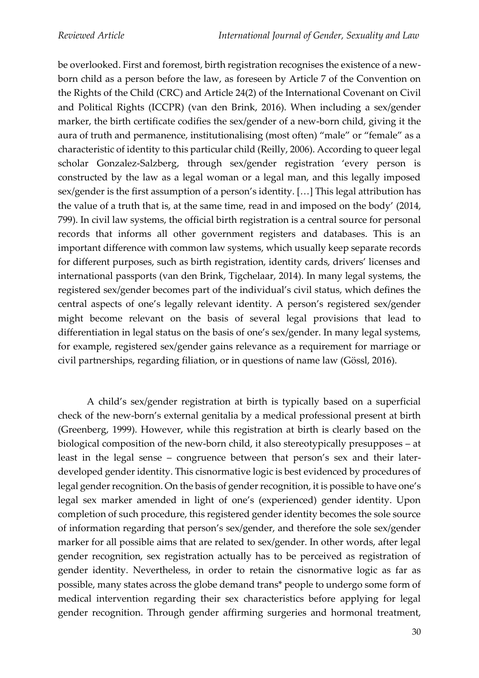be overlooked. First and foremost, birth registration recognises the existence of a newborn child as a person before the law, as foreseen by Article 7 of the Convention on the Rights of the Child (CRC) and Article 24(2) of the International Covenant on Civil and Political Rights (ICCPR) (van den Brink, 2016). When including a sex/gender marker, the birth certificate codifies the sex/gender of a new-born child, giving it the aura of truth and permanence, institutionalising (most often) "male" or "female" as a characteristic of identity to this particular child (Reilly, 2006). According to queer legal scholar Gonzalez-Salzberg, through sex/gender registration 'every person is constructed by the law as a legal woman or a legal man, and this legally imposed sex/gender is the first assumption of a person's identity. […] This legal attribution has the value of a truth that is, at the same time, read in and imposed on the body' (2014, 799). In civil law systems, the official birth registration is a central source for personal records that informs all other government registers and databases. This is an important difference with common law systems, which usually keep separate records for different purposes, such as birth registration, identity cards, drivers' licenses and international passports (van den Brink, Tigchelaar, 2014). In many legal systems, the registered sex/gender becomes part of the individual's civil status, which defines the central aspects of one's legally relevant identity. A person's registered sex/gender might become relevant on the basis of several legal provisions that lead to differentiation in legal status on the basis of one's sex/gender. In many legal systems, for example, registered sex/gender gains relevance as a requirement for marriage or civil partnerships, regarding filiation, or in questions of name law (Gössl, 2016).

A child's sex/gender registration at birth is typically based on a superficial check of the new-born's external genitalia by a medical professional present at birth (Greenberg, 1999). However, while this registration at birth is clearly based on the biological composition of the new-born child, it also stereotypically presupposes – at least in the legal sense – congruence between that person's sex and their laterdeveloped gender identity. This cisnormative logic is best evidenced by procedures of legal gender recognition. On the basis of gender recognition, it is possible to have one's legal sex marker amended in light of one's (experienced) gender identity. Upon completion of such procedure, this registered gender identity becomes the sole source of information regarding that person's sex/gender, and therefore the sole sex/gender marker for all possible aims that are related to sex/gender. In other words, after legal gender recognition, sex registration actually has to be perceived as registration of gender identity. Nevertheless, in order to retain the cisnormative logic as far as possible, many states across the globe demand trans\* people to undergo some form of medical intervention regarding their sex characteristics before applying for legal gender recognition. Through gender affirming surgeries and hormonal treatment,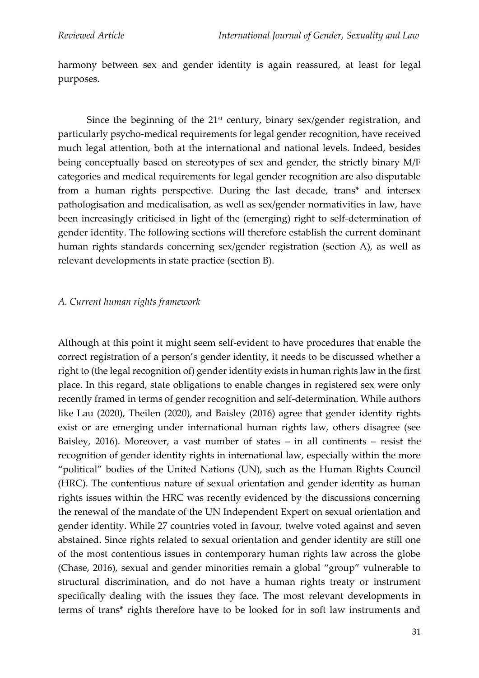harmony between sex and gender identity is again reassured, at least for legal purposes.

Since the beginning of the  $21<sup>st</sup>$  century, binary sex/gender registration, and particularly psycho-medical requirements for legal gender recognition, have received much legal attention, both at the international and national levels. Indeed, besides being conceptually based on stereotypes of sex and gender, the strictly binary M/F categories and medical requirements for legal gender recognition are also disputable from a human rights perspective. During the last decade, trans\* and intersex pathologisation and medicalisation, as well as sex/gender normativities in law, have been increasingly criticised in light of the (emerging) right to self-determination of gender identity. The following sections will therefore establish the current dominant human rights standards concerning sex/gender registration (section A), as well as relevant developments in state practice (section B).

#### *A. Current human rights framework*

Although at this point it might seem self-evident to have procedures that enable the correct registration of a person's gender identity, it needs to be discussed whether a right to (the legal recognition of) gender identity exists in human rights law in the first place. In this regard, state obligations to enable changes in registered sex were only recently framed in terms of gender recognition and self-determination. While authors like Lau (2020), Theilen (2020), and Baisley (2016) agree that gender identity rights exist or are emerging under international human rights law, others disagree (see Baisley, 2016). Moreover, a vast number of states – in all continents – resist the recognition of gender identity rights in international law, especially within the more "political" bodies of the United Nations (UN), such as the Human Rights Council (HRC). The contentious nature of sexual orientation and gender identity as human rights issues within the HRC was recently evidenced by the discussions concerning the renewal of the mandate of the UN Independent Expert on sexual orientation and gender identity. While 27 countries voted in favour, twelve voted against and seven abstained. Since rights related to sexual orientation and gender identity are still one of the most contentious issues in contemporary human rights law across the globe (Chase, 2016), sexual and gender minorities remain a global "group" vulnerable to structural discrimination, and do not have a human rights treaty or instrument specifically dealing with the issues they face. The most relevant developments in terms of trans\* rights therefore have to be looked for in soft law instruments and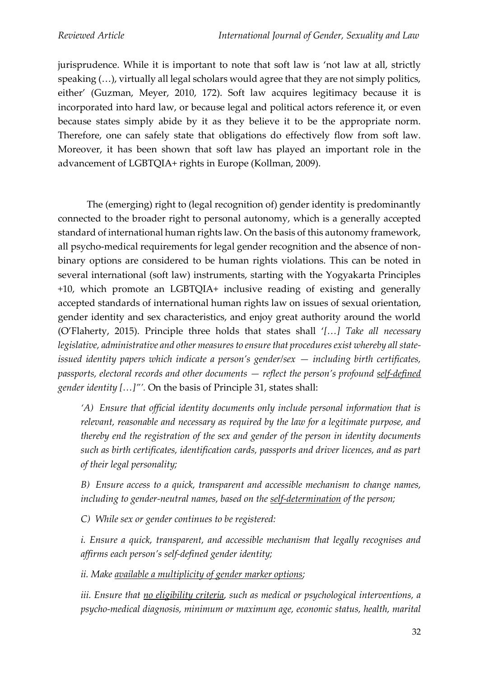jurisprudence. While it is important to note that soft law is 'not law at all, strictly speaking (…), virtually all legal scholars would agree that they are not simply politics, either' (Guzman, Meyer, 2010, 172). Soft law acquires legitimacy because it is incorporated into hard law, or because legal and political actors reference it, or even because states simply abide by it as they believe it to be the appropriate norm. Therefore, one can safely state that obligations do effectively flow from soft law. Moreover, it has been shown that soft law has played an important role in the advancement of LGBTQIA+ rights in Europe (Kollman, 2009).

The (emerging) right to (legal recognition of) gender identity is predominantly connected to the broader right to personal autonomy, which is a generally accepted standard of international human rights law. On the basis of this autonomy framework, all psycho-medical requirements for legal gender recognition and the absence of nonbinary options are considered to be human rights violations. This can be noted in several international (soft law) instruments, starting with the Yogyakarta Principles +10, which promote an LGBTQIA+ inclusive reading of existing and generally accepted standards of international human rights law on issues of sexual orientation, gender identity and sex characteristics, and enjoy great authority around the world (O'Flaherty, 2015). Principle three holds that states shall '*[…] Take all necessary legislative, administrative and other measures to ensure that procedures exist whereby all stateissued identity papers which indicate a person's gender/sex — including birth certificates, passports, electoral records and other documents — reflect the person's profound self-defined gender identity […]"'.* On the basis of Principle 31, states shall:

*'A) Ensure that official identity documents only include personal information that is relevant, reasonable and necessary as required by the law for a legitimate purpose, and thereby end the registration of the sex and gender of the person in identity documents such as birth certificates, identification cards, passports and driver licences, and as part of their legal personality;*

*B) Ensure access to a quick, transparent and accessible mechanism to change names, including to gender-neutral names, based on the self-determination of the person;*

*C) While sex or gender continues to be registered:*

*i. Ensure a quick, transparent, and accessible mechanism that legally recognises and affirms each person's self-defined gender identity;*

*ii. Make available a multiplicity of gender marker options;*

*iii. Ensure that no eligibility criteria, such as medical or psychological interventions, a psycho-medical diagnosis, minimum or maximum age, economic status, health, marital*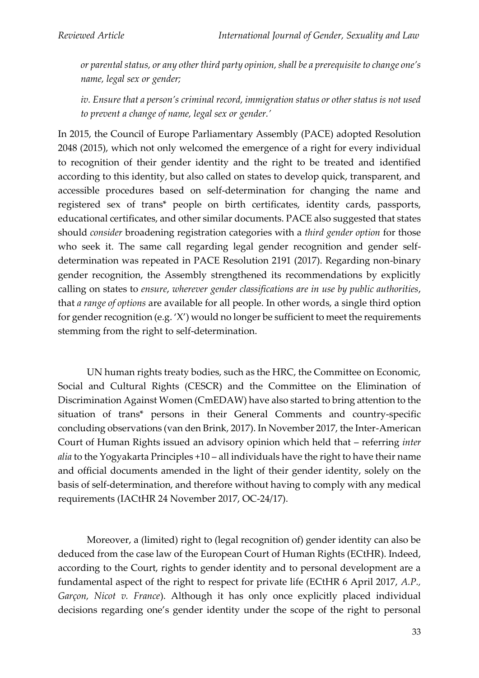*or parental status, or any other third party opinion, shall be a prerequisite to change one's name, legal sex or gender;*

*iv. Ensure that a person's criminal record, immigration status or other status is not used to prevent a change of name, legal sex or gender.'*

In 2015, the Council of Europe Parliamentary Assembly (PACE) adopted Resolution 2048 (2015), which not only welcomed the emergence of a right for every individual to recognition of their gender identity and the right to be treated and identified according to this identity, but also called on states to develop quick, transparent, and accessible procedures based on self-determination for changing the name and registered sex of trans\* people on birth certificates, identity cards, passports, educational certificates, and other similar documents. PACE also suggested that states should *consider* broadening registration categories with a *third gender option* for those who seek it. The same call regarding legal gender recognition and gender selfdetermination was repeated in PACE Resolution 2191 (2017). Regarding non-binary gender recognition, the Assembly strengthened its recommendations by explicitly calling on states to *ensure*, *wherever gender classifications are in use by public authorities*, that *a range of options* are available for all people. In other words, a single third option for gender recognition (e.g. 'X') would no longer be sufficient to meet the requirements stemming from the right to self-determination.

UN human rights treaty bodies, such as the HRC, the Committee on Economic, Social and Cultural Rights (CESCR) and the Committee on the Elimination of Discrimination Against Women (CmEDAW) have also started to bring attention to the situation of trans\* persons in their General Comments and country-specific concluding observations (van den Brink, 2017). In November 2017, the Inter-American Court of Human Rights issued an advisory opinion which held that – referring *inter alia* to the Yogyakarta Principles +10 – all individuals have the right to have their name and official documents amended in the light of their gender identity, solely on the basis of self-determination, and therefore without having to comply with any medical requirements (IACtHR 24 November 2017, OC-24/17).

Moreover, a (limited) right to (legal recognition of) gender identity can also be deduced from the case law of the European Court of Human Rights (ECtHR). Indeed, according to the Court, rights to gender identity and to personal development are a fundamental aspect of the right to respect for private life (ECtHR 6 April 2017, *A.P., Garçon, Nicot v. France*). Although it has only once explicitly placed individual decisions regarding one's gender identity under the scope of the right to personal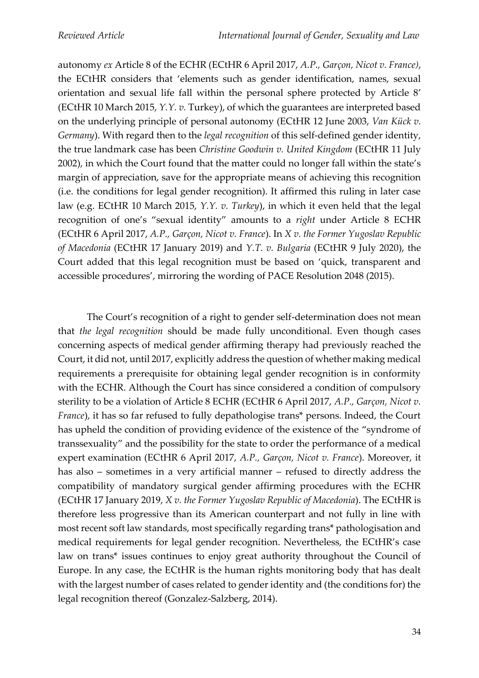autonomy *ex* Article 8 of the ECHR (ECtHR 6 April 2017, *A.P., Garçon, Nicot v. France)*, the ECtHR considers that 'elements such as gender identification, names, sexual orientation and sexual life fall within the personal sphere protected by Article 8' (ECtHR 10 March 2015, *Y.Y. v.* Turkey), of which the guarantees are interpreted based on the underlying principle of personal autonomy (ECtHR 12 June 2003, *Van Kück v. Germany*). With regard then to the *legal recognition* of this self-defined gender identity, the true landmark case has been *Christine Goodwin v. United Kingdom* (ECtHR 11 July 2002), in which the Court found that the matter could no longer fall within the state's margin of appreciation, save for the appropriate means of achieving this recognition (i.e. the conditions for legal gender recognition). It affirmed this ruling in later case law (e.g. ECtHR 10 March 2015, *Y.Y. v. Turkey*), in which it even held that the legal recognition of one's "sexual identity" amounts to a *right* under Article 8 ECHR (ECtHR 6 April 2017, *A.P., Garçon, Nicot v. France*). In *X v. the Former Yugoslav Republic of Macedonia* (ECtHR 17 January 2019) and *Y.T. v. Bulgaria* (ECtHR 9 July 2020), the Court added that this legal recognition must be based on 'quick, transparent and accessible procedures', mirroring the wording of PACE Resolution 2048 (2015).

The Court's recognition of a right to gender self-determination does not mean that *the legal recognition* should be made fully unconditional. Even though cases concerning aspects of medical gender affirming therapy had previously reached the Court, it did not, until 2017, explicitly address the question of whether making medical requirements a prerequisite for obtaining legal gender recognition is in conformity with the ECHR. Although the Court has since considered a condition of compulsory sterility to be a violation of Article 8 ECHR (ECtHR 6 April 2017, *A.P., Garçon, Nicot v. France*), it has so far refused to fully depathologise trans\* persons. Indeed, the Court has upheld the condition of providing evidence of the existence of the "syndrome of transsexuality" and the possibility for the state to order the performance of a medical expert examination (ECtHR 6 April 2017, *A.P., Garçon, Nicot v. France*). Moreover, it has also – sometimes in a very artificial manner – refused to directly address the compatibility of mandatory surgical gender affirming procedures with the ECHR (ECtHR 17 January 2019, *X v. the Former Yugoslav Republic of Macedonia*). The ECtHR is therefore less progressive than its American counterpart and not fully in line with most recent soft law standards, most specifically regarding trans\* pathologisation and medical requirements for legal gender recognition. Nevertheless, the ECtHR's case law on trans\* issues continues to enjoy great authority throughout the Council of Europe. In any case, the ECtHR is the human rights monitoring body that has dealt with the largest number of cases related to gender identity and (the conditions for) the legal recognition thereof (Gonzalez-Salzberg, 2014).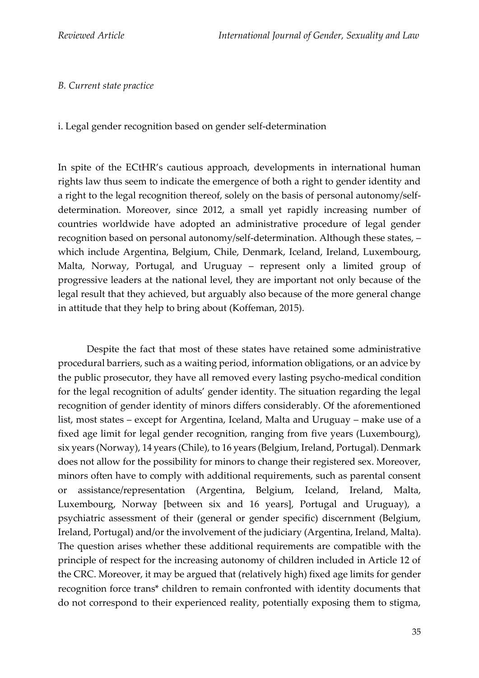#### *B. Current state practice*

i. Legal gender recognition based on gender self-determination

In spite of the ECtHR's cautious approach, developments in international human rights law thus seem to indicate the emergence of both a right to gender identity and a right to the legal recognition thereof, solely on the basis of personal autonomy/selfdetermination. Moreover, since 2012, a small yet rapidly increasing number of countries worldwide have adopted an administrative procedure of legal gender recognition based on personal autonomy/self-determination. Although these states, – which include Argentina, Belgium, Chile, Denmark, Iceland, Ireland, Luxembourg, Malta, Norway, Portugal, and Uruguay – represent only a limited group of progressive leaders at the national level, they are important not only because of the legal result that they achieved, but arguably also because of the more general change in attitude that they help to bring about (Koffeman, 2015).

Despite the fact that most of these states have retained some administrative procedural barriers, such as a waiting period, information obligations, or an advice by the public prosecutor, they have all removed every lasting psycho-medical condition for the legal recognition of adults' gender identity. The situation regarding the legal recognition of gender identity of minors differs considerably. Of the aforementioned list, most states – except for Argentina, Iceland, Malta and Uruguay – make use of a fixed age limit for legal gender recognition, ranging from five years (Luxembourg), six years (Norway), 14 years (Chile), to 16 years (Belgium, Ireland, Portugal). Denmark does not allow for the possibility for minors to change their registered sex. Moreover, minors often have to comply with additional requirements, such as parental consent or assistance/representation (Argentina, Belgium, Iceland, Ireland, Malta, Luxembourg, Norway [between six and 16 years], Portugal and Uruguay), a psychiatric assessment of their (general or gender specific) discernment (Belgium, Ireland, Portugal) and/or the involvement of the judiciary (Argentina, Ireland, Malta). The question arises whether these additional requirements are compatible with the principle of respect for the increasing autonomy of children included in Article 12 of the CRC. Moreover, it may be argued that (relatively high) fixed age limits for gender recognition force trans\* children to remain confronted with identity documents that do not correspond to their experienced reality, potentially exposing them to stigma,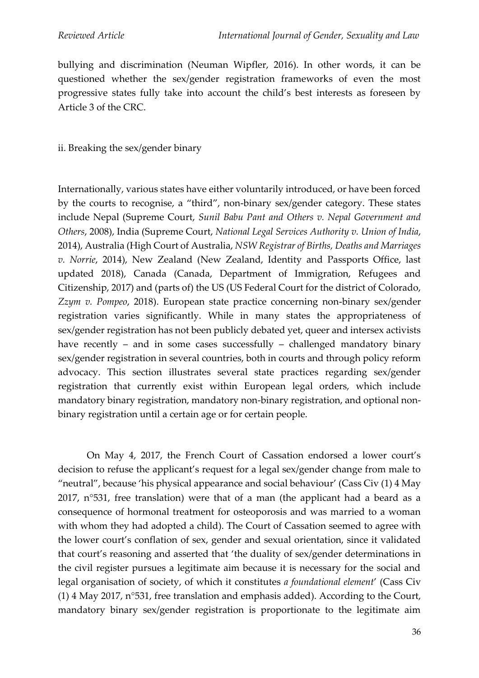bullying and discrimination (Neuman Wipfler, 2016). In other words, it can be questioned whether the sex/gender registration frameworks of even the most progressive states fully take into account the child's best interests as foreseen by Article 3 of the CRC.

#### ii. Breaking the sex/gender binary

Internationally, various states have either voluntarily introduced, or have been forced by the courts to recognise, a "third", non-binary sex/gender category. These states include Nepal (Supreme Court, *Sunil Babu Pant and Others v. Nepal Government and Others*, 2008), India (Supreme Court, *National Legal Services Authority v. Union of India*, 2014), Australia (High Court of Australia, *NSW Registrar of Births, Deaths and Marriages v. Norrie*, 2014), New Zealand (New Zealand, Identity and Passports Office, last updated 2018), Canada (Canada, Department of Immigration, Refugees and Citizenship, 2017) and (parts of) the US (US Federal Court for the district of Colorado, *Zzym v. Pompeo*, 2018). European state practice concerning non-binary sex/gender registration varies significantly. While in many states the appropriateness of sex/gender registration has not been publicly debated yet, queer and intersex activists have recently – and in some cases successfully – challenged mandatory binary sex/gender registration in several countries, both in courts and through policy reform advocacy. This section illustrates several state practices regarding sex/gender registration that currently exist within European legal orders, which include mandatory binary registration, mandatory non-binary registration, and optional nonbinary registration until a certain age or for certain people.

On May 4, 2017, the French Court of Cassation endorsed a lower court's decision to refuse the applicant's request for a legal sex/gender change from male to "neutral", because 'his physical appearance and social behaviour' (Cass Civ (1) 4 May 2017, n°531, free translation) were that of a man (the applicant had a beard as a consequence of hormonal treatment for osteoporosis and was married to a woman with whom they had adopted a child). The Court of Cassation seemed to agree with the lower court's conflation of sex, gender and sexual orientation, since it validated that court's reasoning and asserted that 'the duality of sex/gender determinations in the civil register pursues a legitimate aim because it is necessary for the social and legal organisation of society, of which it constitutes *a foundational element*' (Cass Civ (1) 4 May 2017, n°531, free translation and emphasis added). According to the Court, mandatory binary sex/gender registration is proportionate to the legitimate aim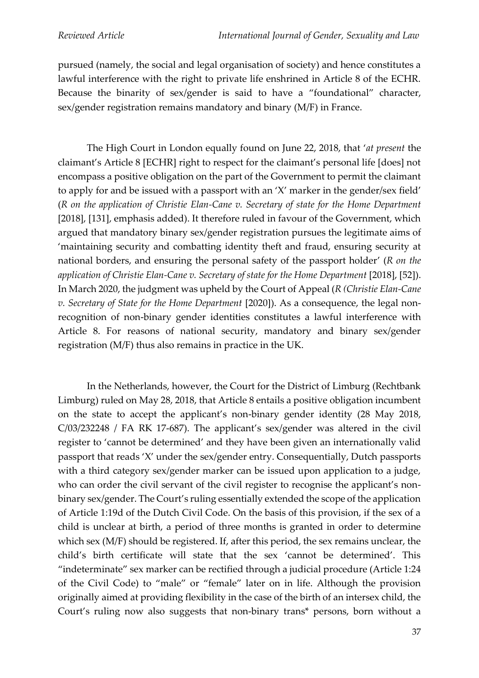pursued (namely, the social and legal organisation of society) and hence constitutes a lawful interference with the right to private life enshrined in Article 8 of the ECHR. Because the binarity of sex/gender is said to have a "foundational" character, sex/gender registration remains mandatory and binary (M/F) in France.

The High Court in London equally found on June 22, 2018, that '*at present* the claimant's Article 8 [ECHR] right to respect for the claimant's personal life [does] not encompass a positive obligation on the part of the Government to permit the claimant to apply for and be issued with a passport with an 'X' marker in the gender/sex field' (*R on the application of Christie Elan-Cane v. Secretary of state for the Home Department* [2018], [131], emphasis added). It therefore ruled in favour of the Government, which argued that mandatory binary sex/gender registration pursues the legitimate aims of 'maintaining security and combatting identity theft and fraud, ensuring security at national borders, and ensuring the personal safety of the passport holder' (*R on the application of Christie Elan-Cane v. Secretary of state for the Home Department* [2018], [52]). In March 2020, the judgment was upheld by the Court of Appeal (*R (Christie Elan-Cane v. Secretary of State for the Home Department* [2020]). As a consequence, the legal nonrecognition of non-binary gender identities constitutes a lawful interference with Article 8. For reasons of national security, mandatory and binary sex/gender registration (M/F) thus also remains in practice in the UK.

In the Netherlands, however, the Court for the District of Limburg (Rechtbank Limburg) ruled on May 28, 2018, that Article 8 entails a positive obligation incumbent on the state to accept the applicant's non-binary gender identity (28 May 2018, C/03/232248 / FA RK 17-687). The applicant's sex/gender was altered in the civil register to 'cannot be determined' and they have been given an internationally valid passport that reads 'X' under the sex/gender entry. Consequentially, Dutch passports with a third category sex/gender marker can be issued upon application to a judge, who can order the civil servant of the civil register to recognise the applicant's nonbinary sex/gender. The Court's ruling essentially extended the scope of the application of Article 1:19d of the Dutch Civil Code. On the basis of this provision, if the sex of a child is unclear at birth, a period of three months is granted in order to determine which sex (M/F) should be registered. If, after this period, the sex remains unclear, the child's birth certificate will state that the sex 'cannot be determined'. This "indeterminate" sex marker can be rectified through a judicial procedure (Article 1:24 of the Civil Code) to "male" or "female" later on in life. Although the provision originally aimed at providing flexibility in the case of the birth of an intersex child, the Court's ruling now also suggests that non-binary trans\* persons, born without a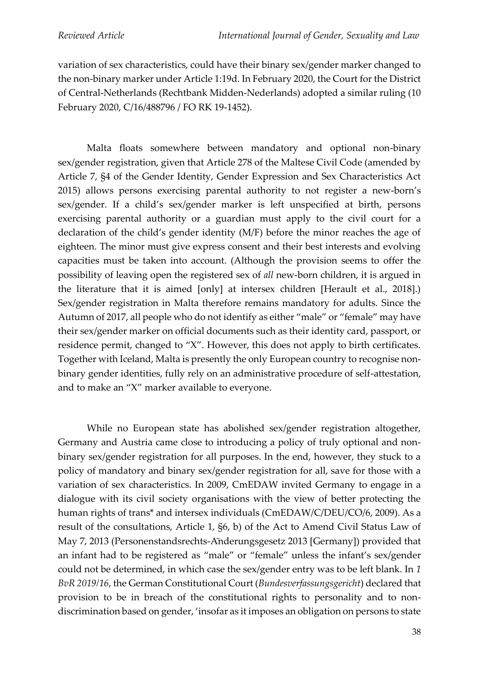variation of sex characteristics, could have their binary sex/gender marker changed to the non-binary marker under Article 1:19d. In February 2020, the Court for the District of Central-Netherlands (Rechtbank Midden-Nederlands) adopted a similar ruling (10 February 2020, C/16/488796 / FO RK 19-1452).

Malta floats somewhere between mandatory and optional non-binary sex/gender registration, given that Article 278 of the Maltese Civil Code (amended by Article 7, §4 of the Gender Identity, Gender Expression and Sex Characteristics Act 2015) allows persons exercising parental authority to not register a new-born's sex/gender. If a child's sex/gender marker is left unspecified at birth, persons exercising parental authority or a guardian must apply to the civil court for a declaration of the child's gender identity (M/F) before the minor reaches the age of eighteen. The minor must give express consent and their best interests and evolving capacities must be taken into account. (Although the provision seems to offer the possibility of leaving open the registered sex of *all* new-born children, it is argued in the literature that it is aimed [only] at intersex children [Herault et al., 2018].) Sex/gender registration in Malta therefore remains mandatory for adults. Since the Autumn of 2017, all people who do not identify as either "male" or "female" may have their sex/gender marker on official documents such as their identity card, passport, or residence permit, changed to "X". However, this does not apply to birth certificates. Together with Iceland, Malta is presently the only European country to recognise nonbinary gender identities, fully rely on an administrative procedure of self-attestation, and to make an "X" marker available to everyone.

While no European state has abolished sex/gender registration altogether, Germany and Austria came close to introducing a policy of truly optional and nonbinary sex/gender registration for all purposes. In the end, however, they stuck to a policy of mandatory and binary sex/gender registration for all, save for those with a variation of sex characteristics. In 2009, CmEDAW invited Germany to engage in a dialogue with its civil society organisations with the view of better protecting the human rights of trans\* and intersex individuals (CmEDAW/C/DEU/CO/6, 2009). As a result of the consultations, Article 1, §6, b) of the Act to Amend Civil Status Law of May 7, 2013 (Personenstandsrechts-Änderungsgesetz 2013 [Germany]) provided that an infant had to be registered as "male" or "female" unless the infant's sex/gender could not be determined, in which case the sex/gender entry was to be left blank. In *1 BvR 2019/16*, the German Constitutional Court (*Bundesverfassungsgericht*) declared that provision to be in breach of the constitutional rights to personality and to nondiscrimination based on gender, 'insofar as it imposes an obligation on persons to state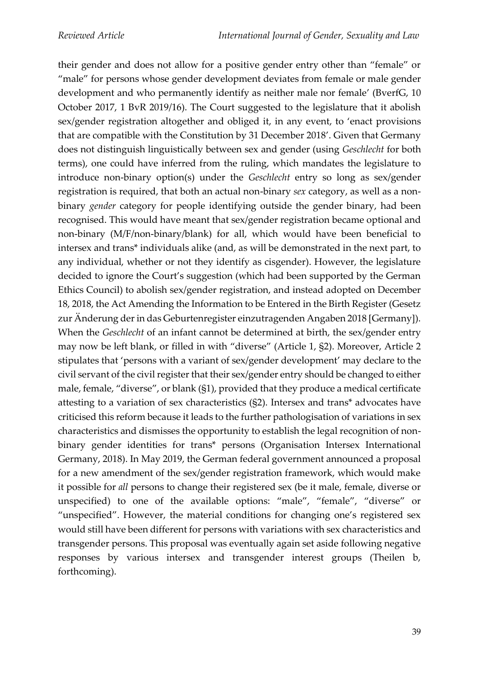their gender and does not allow for a positive gender entry other than "female" or "male" for persons whose gender development deviates from female or male gender development and who permanently identify as neither male nor female' (BverfG, 10 October 2017, 1 BvR 2019/16). The Court suggested to the legislature that it abolish sex/gender registration altogether and obliged it, in any event, to 'enact provisions that are compatible with the Constitution by 31 December 2018'. Given that Germany does not distinguish linguistically between sex and gender (using *Geschlecht* for both terms), one could have inferred from the ruling, which mandates the legislature to introduce non-binary option(s) under the *Geschlecht* entry so long as sex/gender registration is required, that both an actual non-binary *sex* category, as well as a nonbinary *gender* category for people identifying outside the gender binary, had been recognised. This would have meant that sex/gender registration became optional and non-binary (M/F/non-binary/blank) for all, which would have been beneficial to intersex and trans\* individuals alike (and, as will be demonstrated in the next part, to any individual, whether or not they identify as cisgender). However, the legislature decided to ignore the Court's suggestion (which had been supported by the German Ethics Council) to abolish sex/gender registration, and instead adopted on December 18, 2018, the Act Amending the Information to be Entered in the Birth Register (Gesetz zur Änderung der in das Geburtenregister einzutragenden Angaben 2018 [Germany]). When the *Geschlecht* of an infant cannot be determined at birth, the sex/gender entry may now be left blank, or filled in with "diverse" (Article 1, §2). Moreover, Article 2 stipulates that 'persons with a variant of sex/gender development' may declare to the civil servant of the civil register that their sex/gender entry should be changed to either male, female, "diverse", or blank (§1), provided that they produce a medical certificate attesting to a variation of sex characteristics (§2). Intersex and trans\* advocates have criticised this reform because it leads to the further pathologisation of variations in sex characteristics and dismisses the opportunity to establish the legal recognition of nonbinary gender identities for trans\* persons (Organisation Intersex International Germany, 2018). In May 2019, the German federal government announced a proposal for a new amendment of the sex/gender registration framework, which would make it possible for *all* persons to change their registered sex (be it male, female, diverse or unspecified) to one of the available options: "male", "female", "diverse" or "unspecified". However, the material conditions for changing one's registered sex would still have been different for persons with variations with sex characteristics and transgender persons. This proposal was eventually again set aside following negative responses by various intersex and transgender interest groups (Theilen b, forthcoming).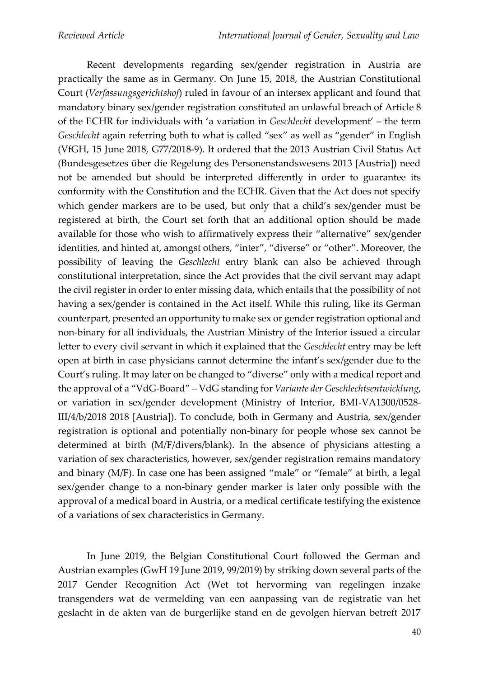Recent developments regarding sex/gender registration in Austria are practically the same as in Germany. On June 15, 2018, the Austrian Constitutional Court (*Verfassungsgerichtshof*) ruled in favour of an intersex applicant and found that mandatory binary sex/gender registration constituted an unlawful breach of Article 8 of the ECHR for individuals with 'a variation in *Geschlecht* development' – the term *Geschlecht* again referring both to what is called "sex" as well as "gender" in English (VfGH, 15 June 2018, G77/2018-9). It ordered that the 2013 Austrian Civil Status Act (Bundesgesetzes über die Regelung des Personenstandswesens 2013 [Austria]) need not be amended but should be interpreted differently in order to guarantee its conformity with the Constitution and the ECHR. Given that the Act does not specify which gender markers are to be used, but only that a child's sex/gender must be registered at birth, the Court set forth that an additional option should be made available for those who wish to affirmatively express their "alternative" sex/gender identities, and hinted at, amongst others, "inter", "diverse" or "other". Moreover, the possibility of leaving the *Geschlecht* entry blank can also be achieved through constitutional interpretation, since the Act provides that the civil servant may adapt the civil register in order to enter missing data, which entails that the possibility of not having a sex/gender is contained in the Act itself. While this ruling, like its German counterpart, presented an opportunity to make sex or gender registration optional and non-binary for all individuals, the Austrian Ministry of the Interior issued a circular letter to every civil servant in which it explained that the *Geschlecht* entry may be left open at birth in case physicians cannot determine the infant's sex/gender due to the Court's ruling. It may later on be changed to "diverse" only with a medical report and the approval of a "VdG-Board" – VdG standing for *Variante der Geschlechtsentwicklung*, or variation in sex/gender development (Ministry of Interior, BMI-VA1300/0528- III/4/b/2018 2018 [Austria]). To conclude, both in Germany and Austria, sex/gender registration is optional and potentially non-binary for people whose sex cannot be determined at birth (M/F/divers/blank). In the absence of physicians attesting a variation of sex characteristics, however, sex/gender registration remains mandatory and binary (M/F). In case one has been assigned "male" or "female" at birth, a legal sex/gender change to a non-binary gender marker is later only possible with the approval of a medical board in Austria, or a medical certificate testifying the existence of a variations of sex characteristics in Germany.

In June 2019, the Belgian Constitutional Court followed the German and Austrian examples (GwH 19 June 2019, 99/2019) by striking down several parts of the 2017 Gender Recognition Act (Wet tot hervorming van regelingen inzake transgenders wat de vermelding van een aanpassing van de registratie van het geslacht in de akten van de burgerlijke stand en de gevolgen hiervan betreft 2017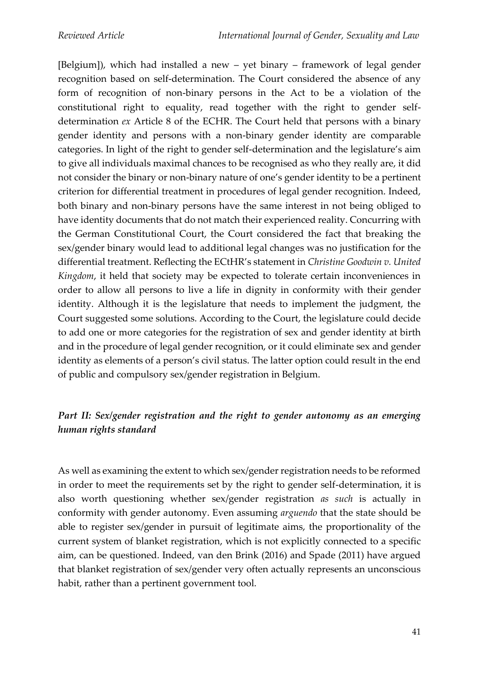[Belgium]), which had installed a new – yet binary – framework of legal gender recognition based on self-determination. The Court considered the absence of any form of recognition of non-binary persons in the Act to be a violation of the constitutional right to equality, read together with the right to gender selfdetermination *ex* Article 8 of the ECHR. The Court held that persons with a binary gender identity and persons with a non-binary gender identity are comparable categories. In light of the right to gender self-determination and the legislature's aim to give all individuals maximal chances to be recognised as who they really are, it did not consider the binary or non-binary nature of one's gender identity to be a pertinent criterion for differential treatment in procedures of legal gender recognition. Indeed, both binary and non-binary persons have the same interest in not being obliged to have identity documents that do not match their experienced reality. Concurring with the German Constitutional Court, the Court considered the fact that breaking the sex/gender binary would lead to additional legal changes was no justification for the differential treatment. Reflecting the ECtHR's statement in *Christine Goodwin v. United Kingdom*, it held that society may be expected to tolerate certain inconveniences in order to allow all persons to live a life in dignity in conformity with their gender identity. Although it is the legislature that needs to implement the judgment, the Court suggested some solutions. According to the Court, the legislature could decide to add one or more categories for the registration of sex and gender identity at birth and in the procedure of legal gender recognition, or it could eliminate sex and gender identity as elements of a person's civil status. The latter option could result in the end of public and compulsory sex/gender registration in Belgium.

# *Part II: Sex/gender registration and the right to gender autonomy as an emerging human rights standard*

As well as examining the extent to which sex/gender registration needs to be reformed in order to meet the requirements set by the right to gender self-determination, it is also worth questioning whether sex/gender registration *as such* is actually in conformity with gender autonomy. Even assuming *arguendo* that the state should be able to register sex/gender in pursuit of legitimate aims, the proportionality of the current system of blanket registration, which is not explicitly connected to a specific aim, can be questioned. Indeed, van den Brink (2016) and Spade (2011) have argued that blanket registration of sex/gender very often actually represents an unconscious habit, rather than a pertinent government tool.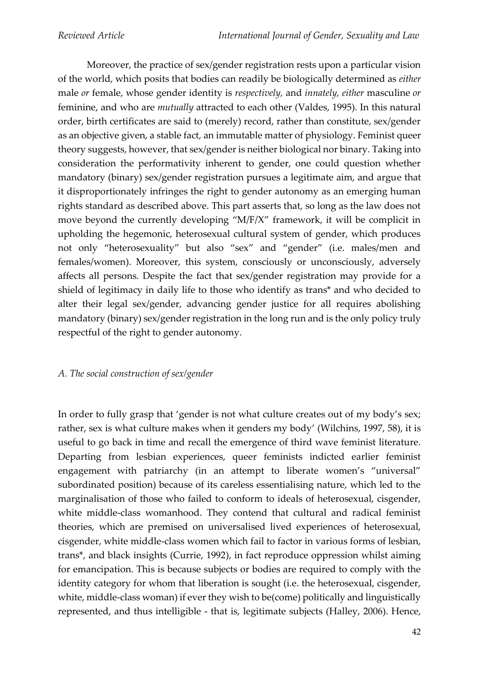Moreover, the practice of sex/gender registration rests upon a particular vision of the world, which posits that bodies can readily be biologically determined as *either* male *or* female, whose gender identity is *respectively,* and *innately, either* masculine *or* feminine, and who are *mutually* attracted to each other (Valdes, 1995). In this natural order, birth certificates are said to (merely) record, rather than constitute, sex/gender as an objective given, a stable fact, an immutable matter of physiology. Feminist queer theory suggests, however, that sex/gender is neither biological nor binary. Taking into consideration the performativity inherent to gender, one could question whether mandatory (binary) sex/gender registration pursues a legitimate aim, and argue that it disproportionately infringes the right to gender autonomy as an emerging human rights standard as described above. This part asserts that, so long as the law does not move beyond the currently developing "M/F/X" framework, it will be complicit in upholding the hegemonic, heterosexual cultural system of gender, which produces not only "heterosexuality" but also "sex" and "gender" (i.e. males/men and females/women). Moreover, this system, consciously or unconsciously, adversely affects all persons. Despite the fact that sex/gender registration may provide for a shield of legitimacy in daily life to those who identify as trans\* and who decided to alter their legal sex/gender, advancing gender justice for all requires abolishing mandatory (binary) sex/gender registration in the long run and is the only policy truly respectful of the right to gender autonomy.

### *A. The social construction of sex/gender*

In order to fully grasp that 'gender is not what culture creates out of my body's sex; rather, sex is what culture makes when it genders my body' (Wilchins, 1997, 58), it is useful to go back in time and recall the emergence of third wave feminist literature. Departing from lesbian experiences, queer feminists indicted earlier feminist engagement with patriarchy (in an attempt to liberate women's "universal" subordinated position) because of its careless essentialising nature, which led to the marginalisation of those who failed to conform to ideals of heterosexual, cisgender, white middle-class womanhood. They contend that cultural and radical feminist theories, which are premised on universalised lived experiences of heterosexual, cisgender, white middle-class women which fail to factor in various forms of lesbian, trans\*, and black insights (Currie, 1992), in fact reproduce oppression whilst aiming for emancipation. This is because subjects or bodies are required to comply with the identity category for whom that liberation is sought (i.e. the heterosexual, cisgender, white, middle-class woman) if ever they wish to be(come) politically and linguistically represented, and thus intelligible - that is, legitimate subjects (Halley, 2006). Hence,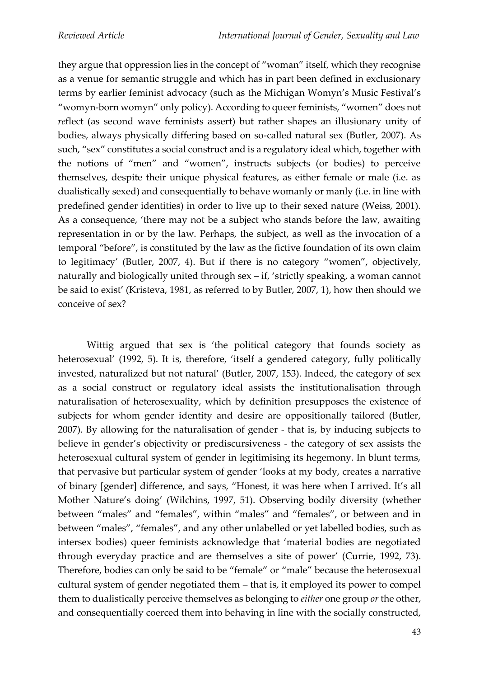they argue that oppression lies in the concept of "woman" itself, which they recognise as a venue for semantic struggle and which has in part been defined in exclusionary terms by earlier feminist advocacy (such as the Michigan Womyn's Music Festival's "womyn-born womyn" only policy). According to queer feminists, "women" does not *re*flect (as second wave feminists assert) but rather shapes an illusionary unity of bodies, always physically differing based on so-called natural sex (Butler, 2007). As such, "sex" constitutes a social construct and is a regulatory ideal which, together with the notions of "men" and "women", instructs subjects (or bodies) to perceive themselves, despite their unique physical features, as either female or male (i.e. as dualistically sexed) and consequentially to behave womanly or manly (i.e. in line with predefined gender identities) in order to live up to their sexed nature (Weiss, 2001). As a consequence, 'there may not be a subject who stands before the law, awaiting representation in or by the law. Perhaps, the subject, as well as the invocation of a temporal "before", is constituted by the law as the fictive foundation of its own claim to legitimacy' (Butler, 2007, 4). But if there is no category "women", objectively, naturally and biologically united through sex – if, 'strictly speaking, a woman cannot be said to exist' (Kristeva, 1981, as referred to by Butler, 2007, 1), how then should we conceive of sex?

Wittig argued that sex is 'the political category that founds society as heterosexual' (1992, 5). It is, therefore, 'itself a gendered category, fully politically invested, naturalized but not natural' (Butler, 2007, 153). Indeed, the category of sex as a social construct or regulatory ideal assists the institutionalisation through naturalisation of heterosexuality, which by definition presupposes the existence of subjects for whom gender identity and desire are oppositionally tailored (Butler, 2007). By allowing for the naturalisation of gender - that is, by inducing subjects to believe in gender's objectivity or prediscursiveness - the category of sex assists the heterosexual cultural system of gender in legitimising its hegemony. In blunt terms, that pervasive but particular system of gender 'looks at my body, creates a narrative of binary [gender] difference, and says, "Honest, it was here when I arrived. It's all Mother Nature's doing' (Wilchins, 1997, 51). Observing bodily diversity (whether between "males" and "females", within "males" and "females", or between and in between "males", "females", and any other unlabelled or yet labelled bodies, such as intersex bodies) queer feminists acknowledge that 'material bodies are negotiated through everyday practice and are themselves a site of power' (Currie, 1992, 73). Therefore, bodies can only be said to be "female" or "male" because the heterosexual cultural system of gender negotiated them – that is, it employed its power to compel them to dualistically perceive themselves as belonging to *either* one group *or* the other, and consequentially coerced them into behaving in line with the socially constructed,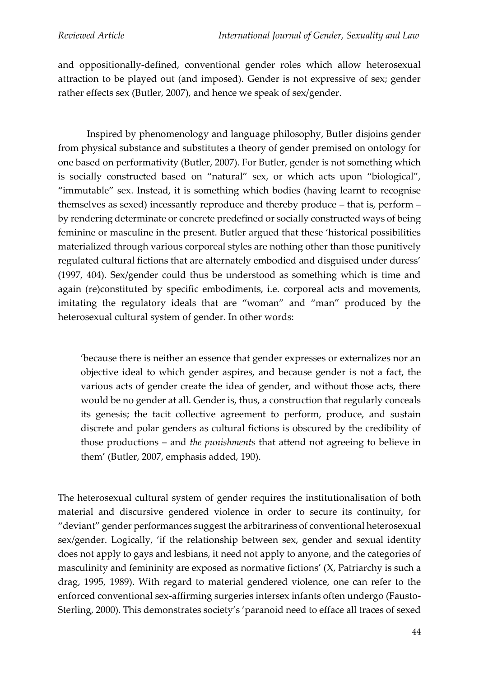and oppositionally-defined, conventional gender roles which allow heterosexual attraction to be played out (and imposed). Gender is not expressive of sex; gender rather effects sex (Butler, 2007), and hence we speak of sex/gender.

Inspired by phenomenology and language philosophy, Butler disjoins gender from physical substance and substitutes a theory of gender premised on ontology for one based on performativity (Butler, 2007). For Butler, gender is not something which is socially constructed based on "natural" sex, or which acts upon "biological", "immutable" sex. Instead, it is something which bodies (having learnt to recognise themselves as sexed) incessantly reproduce and thereby produce – that is, perform – by rendering determinate or concrete predefined or socially constructed ways of being feminine or masculine in the present. Butler argued that these 'historical possibilities materialized through various corporeal styles are nothing other than those punitively regulated cultural fictions that are alternately embodied and disguised under duress' (1997, 404). Sex/gender could thus be understood as something which is time and again (re)constituted by specific embodiments, i.e. corporeal acts and movements, imitating the regulatory ideals that are "woman" and "man" produced by the heterosexual cultural system of gender. In other words:

'because there is neither an essence that gender expresses or externalizes nor an objective ideal to which gender aspires, and because gender is not a fact, the various acts of gender create the idea of gender, and without those acts, there would be no gender at all. Gender is, thus, a construction that regularly conceals its genesis; the tacit collective agreement to perform, produce, and sustain discrete and polar genders as cultural fictions is obscured by the credibility of those productions – and *the punishments* that attend not agreeing to believe in them' (Butler, 2007, emphasis added, 190).

The heterosexual cultural system of gender requires the institutionalisation of both material and discursive gendered violence in order to secure its continuity, for "deviant" gender performances suggest the arbitrariness of conventional heterosexual sex/gender. Logically, 'if the relationship between sex, gender and sexual identity does not apply to gays and lesbians, it need not apply to anyone, and the categories of masculinity and femininity are exposed as normative fictions' (X, Patriarchy is such a drag, 1995, 1989). With regard to material gendered violence, one can refer to the enforced conventional sex-affirming surgeries intersex infants often undergo (Fausto-Sterling, 2000). This demonstrates society's 'paranoid need to efface all traces of sexed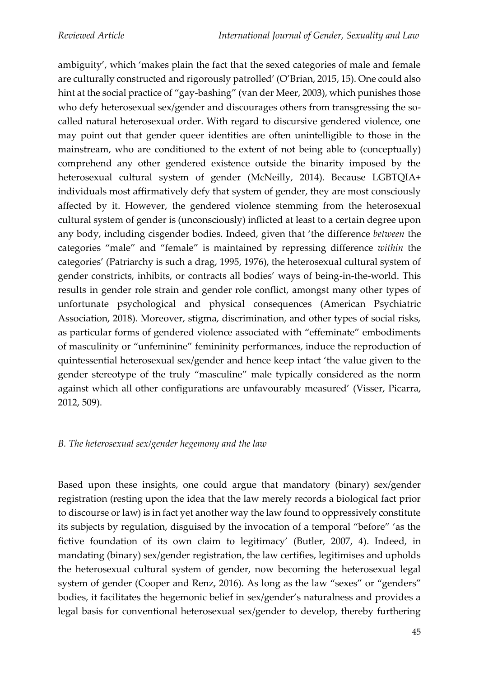ambiguity', which 'makes plain the fact that the sexed categories of male and female are culturally constructed and rigorously patrolled' (O'Brian, 2015, 15). One could also hint at the social practice of "gay-bashing" (van der Meer, 2003), which punishes those who defy heterosexual sex/gender and discourages others from transgressing the socalled natural heterosexual order. With regard to discursive gendered violence, one may point out that gender queer identities are often unintelligible to those in the mainstream, who are conditioned to the extent of not being able to (conceptually) comprehend any other gendered existence outside the binarity imposed by the heterosexual cultural system of gender (McNeilly, 2014). Because LGBTQIA+ individuals most affirmatively defy that system of gender, they are most consciously affected by it. However, the gendered violence stemming from the heterosexual cultural system of gender is (unconsciously) inflicted at least to a certain degree upon any body, including cisgender bodies. Indeed, given that 'the difference *between* the categories "male" and "female" is maintained by repressing difference *within* the categories' (Patriarchy is such a drag, 1995, 1976), the heterosexual cultural system of gender constricts, inhibits, or contracts all bodies' ways of being-in-the-world. This results in gender role strain and gender role conflict, amongst many other types of unfortunate psychological and physical consequences (American Psychiatric Association, 2018). Moreover, stigma, discrimination, and other types of social risks, as particular forms of gendered violence associated with "effeminate" embodiments of masculinity or "unfeminine" femininity performances, induce the reproduction of quintessential heterosexual sex/gender and hence keep intact 'the value given to the gender stereotype of the truly "masculine" male typically considered as the norm against which all other configurations are unfavourably measured' (Visser, Picarra, 2012, 509).

## *B. The heterosexual sex/gender hegemony and the law*

Based upon these insights, one could argue that mandatory (binary) sex/gender registration (resting upon the idea that the law merely records a biological fact prior to discourse or law) is in fact yet another way the law found to oppressively constitute its subjects by regulation, disguised by the invocation of a temporal "before" 'as the fictive foundation of its own claim to legitimacy' (Butler, 2007, 4). Indeed, in mandating (binary) sex/gender registration, the law certifies, legitimises and upholds the heterosexual cultural system of gender, now becoming the heterosexual legal system of gender (Cooper and Renz, 2016). As long as the law "sexes" or "genders" bodies, it facilitates the hegemonic belief in sex/gender's naturalness and provides a legal basis for conventional heterosexual sex/gender to develop, thereby furthering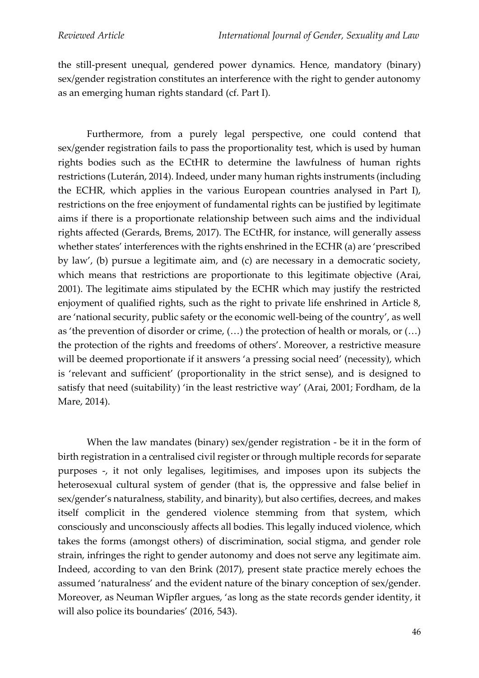the still-present unequal, gendered power dynamics. Hence, mandatory (binary) sex/gender registration constitutes an interference with the right to gender autonomy as an emerging human rights standard (cf. Part I).

Furthermore, from a purely legal perspective, one could contend that sex/gender registration fails to pass the proportionality test, which is used by human rights bodies such as the ECtHR to determine the lawfulness of human rights restrictions (Luterán, 2014). Indeed, under many human rights instruments (including the ECHR, which applies in the various European countries analysed in Part I), restrictions on the free enjoyment of fundamental rights can be justified by legitimate aims if there is a proportionate relationship between such aims and the individual rights affected (Gerards, Brems, 2017). The ECtHR, for instance, will generally assess whether states' interferences with the rights enshrined in the ECHR (a) are 'prescribed by law', (b) pursue a legitimate aim, and (c) are necessary in a democratic society, which means that restrictions are proportionate to this legitimate objective (Arai, 2001). The legitimate aims stipulated by the ECHR which may justify the restricted enjoyment of qualified rights, such as the right to private life enshrined in Article 8, are 'national security, public safety or the economic well-being of the country', as well as 'the prevention of disorder or crime, (…) the protection of health or morals, or (…) the protection of the rights and freedoms of others'. Moreover, a restrictive measure will be deemed proportionate if it answers 'a pressing social need' (necessity), which is 'relevant and sufficient' (proportionality in the strict sense), and is designed to satisfy that need (suitability) 'in the least restrictive way' (Arai, 2001; Fordham, de la Mare, 2014).

When the law mandates (binary) sex/gender registration - be it in the form of birth registration in a centralised civil register or through multiple records for separate purposes -, it not only legalises, legitimises, and imposes upon its subjects the heterosexual cultural system of gender (that is, the oppressive and false belief in sex/gender's naturalness, stability, and binarity), but also certifies, decrees, and makes itself complicit in the gendered violence stemming from that system, which consciously and unconsciously affects all bodies. This legally induced violence, which takes the forms (amongst others) of discrimination, social stigma, and gender role strain, infringes the right to gender autonomy and does not serve any legitimate aim. Indeed, according to van den Brink (2017), present state practice merely echoes the assumed 'naturalness' and the evident nature of the binary conception of sex/gender. Moreover, as Neuman Wipfler argues, 'as long as the state records gender identity, it will also police its boundaries' (2016, 543).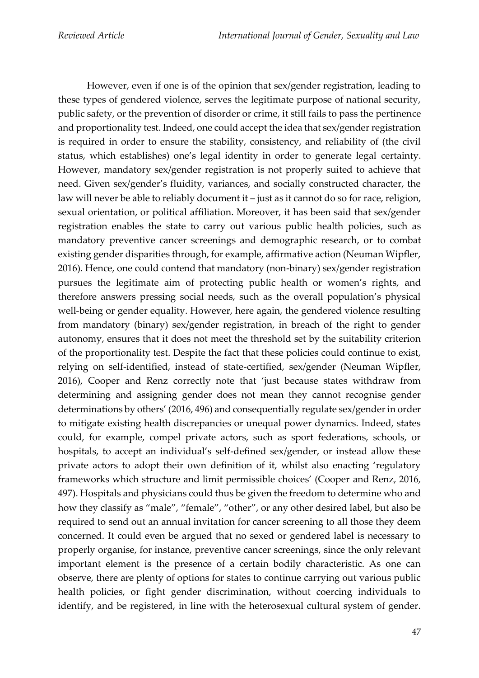However, even if one is of the opinion that sex/gender registration, leading to these types of gendered violence, serves the legitimate purpose of national security, public safety, or the prevention of disorder or crime, it still fails to pass the pertinence and proportionality test. Indeed, one could accept the idea that sex/gender registration is required in order to ensure the stability, consistency, and reliability of (the civil status, which establishes) one's legal identity in order to generate legal certainty. However, mandatory sex/gender registration is not properly suited to achieve that need. Given sex/gender's fluidity, variances, and socially constructed character, the law will never be able to reliably document it – just as it cannot do so for race, religion, sexual orientation, or political affiliation. Moreover, it has been said that sex/gender registration enables the state to carry out various public health policies, such as mandatory preventive cancer screenings and demographic research, or to combat existing gender disparities through, for example, affirmative action (Neuman Wipfler, 2016). Hence, one could contend that mandatory (non-binary) sex/gender registration pursues the legitimate aim of protecting public health or women's rights, and therefore answers pressing social needs, such as the overall population's physical well-being or gender equality. However, here again, the gendered violence resulting from mandatory (binary) sex/gender registration, in breach of the right to gender autonomy, ensures that it does not meet the threshold set by the suitability criterion of the proportionality test. Despite the fact that these policies could continue to exist, relying on self-identified, instead of state-certified, sex/gender (Neuman Wipfler, 2016), Cooper and Renz correctly note that 'just because states withdraw from determining and assigning gender does not mean they cannot recognise gender determinations by others' (2016, 496) and consequentially regulate sex/gender in order to mitigate existing health discrepancies or unequal power dynamics. Indeed, states could, for example, compel private actors, such as sport federations, schools, or hospitals, to accept an individual's self-defined sex/gender, or instead allow these private actors to adopt their own definition of it, whilst also enacting 'regulatory frameworks which structure and limit permissible choices' (Cooper and Renz, 2016, 497). Hospitals and physicians could thus be given the freedom to determine who and how they classify as "male", "female", "other", or any other desired label, but also be required to send out an annual invitation for cancer screening to all those they deem concerned. It could even be argued that no sexed or gendered label is necessary to properly organise, for instance, preventive cancer screenings, since the only relevant important element is the presence of a certain bodily characteristic. As one can observe, there are plenty of options for states to continue carrying out various public health policies, or fight gender discrimination, without coercing individuals to identify, and be registered, in line with the heterosexual cultural system of gender.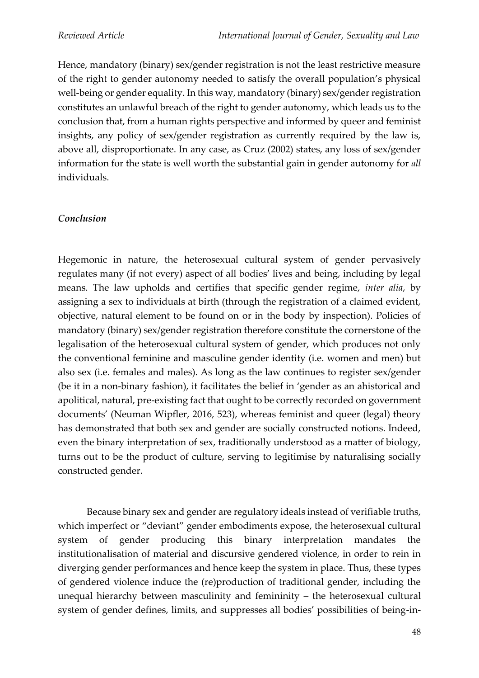Hence, mandatory (binary) sex/gender registration is not the least restrictive measure of the right to gender autonomy needed to satisfy the overall population's physical well-being or gender equality. In this way, mandatory (binary) sex/gender registration constitutes an unlawful breach of the right to gender autonomy, which leads us to the conclusion that, from a human rights perspective and informed by queer and feminist insights, any policy of sex/gender registration as currently required by the law is, above all, disproportionate. In any case, as Cruz (2002) states, any loss of sex/gender information for the state is well worth the substantial gain in gender autonomy for *all*  individuals.

#### *Conclusion*

Hegemonic in nature, the heterosexual cultural system of gender pervasively regulates many (if not every) aspect of all bodies' lives and being, including by legal means. The law upholds and certifies that specific gender regime, *inter alia*, by assigning a sex to individuals at birth (through the registration of a claimed evident, objective, natural element to be found on or in the body by inspection). Policies of mandatory (binary) sex/gender registration therefore constitute the cornerstone of the legalisation of the heterosexual cultural system of gender, which produces not only the conventional feminine and masculine gender identity (i.e. women and men) but also sex (i.e. females and males). As long as the law continues to register sex/gender (be it in a non-binary fashion), it facilitates the belief in 'gender as an ahistorical and apolitical, natural, pre-existing fact that ought to be correctly recorded on government documents' (Neuman Wipfler, 2016, 523), whereas feminist and queer (legal) theory has demonstrated that both sex and gender are socially constructed notions. Indeed, even the binary interpretation of sex, traditionally understood as a matter of biology, turns out to be the product of culture, serving to legitimise by naturalising socially constructed gender.

Because binary sex and gender are regulatory ideals instead of verifiable truths, which imperfect or "deviant" gender embodiments expose, the heterosexual cultural system of gender producing this binary interpretation mandates the institutionalisation of material and discursive gendered violence, in order to rein in diverging gender performances and hence keep the system in place. Thus, these types of gendered violence induce the (re)production of traditional gender, including the unequal hierarchy between masculinity and femininity – the heterosexual cultural system of gender defines, limits, and suppresses all bodies' possibilities of being-in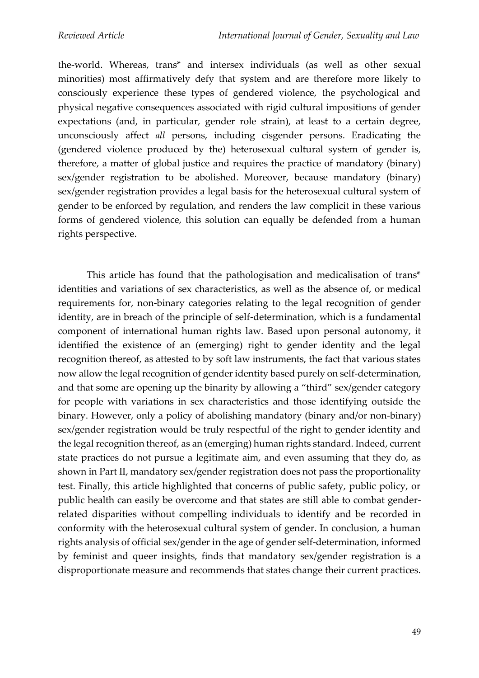the-world. Whereas, trans\* and intersex individuals (as well as other sexual minorities) most affirmatively defy that system and are therefore more likely to consciously experience these types of gendered violence, the psychological and physical negative consequences associated with rigid cultural impositions of gender expectations (and, in particular, gender role strain), at least to a certain degree, unconsciously affect *all* persons, including cisgender persons. Eradicating the (gendered violence produced by the) heterosexual cultural system of gender is, therefore, a matter of global justice and requires the practice of mandatory (binary) sex/gender registration to be abolished. Moreover, because mandatory (binary) sex/gender registration provides a legal basis for the heterosexual cultural system of gender to be enforced by regulation, and renders the law complicit in these various forms of gendered violence, this solution can equally be defended from a human rights perspective.

This article has found that the pathologisation and medicalisation of trans\* identities and variations of sex characteristics, as well as the absence of, or medical requirements for, non-binary categories relating to the legal recognition of gender identity, are in breach of the principle of self-determination, which is a fundamental component of international human rights law. Based upon personal autonomy, it identified the existence of an (emerging) right to gender identity and the legal recognition thereof, as attested to by soft law instruments, the fact that various states now allow the legal recognition of gender identity based purely on self-determination, and that some are opening up the binarity by allowing a "third" sex/gender category for people with variations in sex characteristics and those identifying outside the binary. However, only a policy of abolishing mandatory (binary and/or non-binary) sex/gender registration would be truly respectful of the right to gender identity and the legal recognition thereof, as an (emerging) human rights standard. Indeed, current state practices do not pursue a legitimate aim, and even assuming that they do, as shown in Part II, mandatory sex/gender registration does not pass the proportionality test. Finally, this article highlighted that concerns of public safety, public policy, or public health can easily be overcome and that states are still able to combat genderrelated disparities without compelling individuals to identify and be recorded in conformity with the heterosexual cultural system of gender. In conclusion, a human rights analysis of official sex/gender in the age of gender self-determination, informed by feminist and queer insights, finds that mandatory sex/gender registration is a disproportionate measure and recommends that states change their current practices.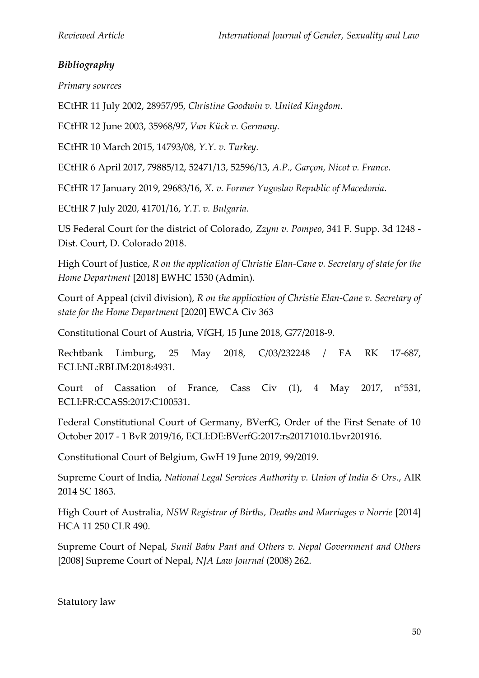## *Bibliography*

*Primary sources*

ECtHR 11 July 2002, 28957/95, *Christine Goodwin v. United Kingdom*.

ECtHR 12 June 2003, 35968/97, *Van Kück v. Germany.*

ECtHR 10 March 2015, 14793/08, *Y.Y. v. Turkey.*

ECtHR 6 April 2017, 79885/12, 52471/13, 52596/13, *A.P., Garçon, Nicot v. France*.

ECtHR 17 January 2019, 29683/16, *X. v. Former Yugoslav Republic of Macedonia*.

ECtHR 7 July 2020, 41701/16, *Y.T. v. Bulgaria.*

US Federal Court for the district of Colorado, *Zzym v. Pompeo*, 341 F. Supp. 3d 1248 - Dist. Court, D. Colorado 2018.

High Court of Justice, *R on the application of Christie Elan-Cane v. Secretary of state for the Home Department* [2018] EWHC 1530 (Admin).

Court of Appeal (civil division), *R on the application of Christie Elan-Cane v. Secretary of state for the Home Department* [2020] EWCA Civ 363

Constitutional Court of Austria, VfGH, 15 June 2018, G77/2018-9.

Rechtbank Limburg, 25 May 2018, C/03/232248 / FA RK 17-687, ECLI:NL:RBLIM:2018:4931.

Court of Cassation of France, Cass Civ (1), 4 May 2017, n°531, ECLI:FR:CCASS:2017:C100531.

Federal Constitutional Court of Germany, BVerfG, Order of the First Senate of 10 October 2017 - 1 BvR 2019/16, ECLI:DE:BVerfG:2017:rs20171010.1bvr201916.

Constitutional Court of Belgium, GwH 19 June 2019, 99/2019.

Supreme Court of India, *National Legal Services Authority v. Union of India & Ors*., AIR 2014 SC 1863.

High Court of Australia, *NSW Registrar of Births, Deaths and Marriages v Norrie* [2014] HCA 11 250 CLR 490.

Supreme Court of Nepal, *Sunil Babu Pant and Others v. Nepal Government and Others* [2008] Supreme Court of Nepal, *NJA Law Journal* (2008) 262.

Statutory law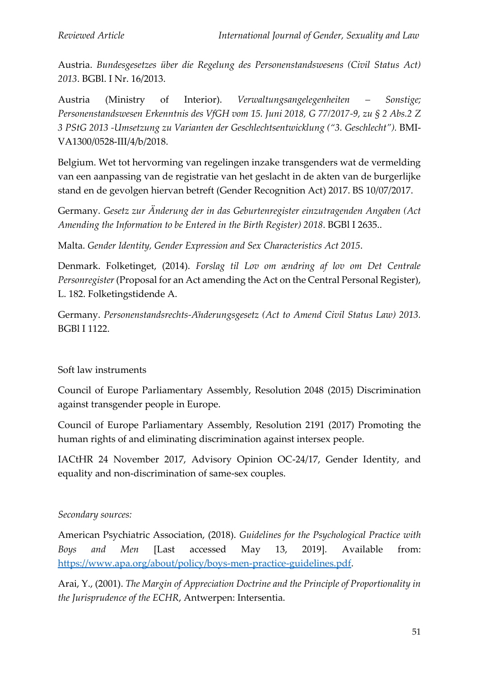Austria. *Bundesgesetzes über die Regelung des Personenstandswesens (Civil Status Act) 2013*. BGBl. I Nr. 16/2013.

Austria (Ministry of Interior). *Verwaltungsangelegenheiten – Sonstige; Personenstandswesen Erkenntnis des VfGH vom 15. Juni 2018, G 77/2017-9, zu § 2 Abs.2 Z 3 PStG 2013 -Umsetzung zu Varianten der Geschlechtsentwicklung ("3. Geschlecht").* BMI-VA1300/0528-III/4/b/2018.

Belgium. Wet tot hervorming van regelingen inzake transgenders wat de vermelding van een aanpassing van de registratie van het geslacht in de akten van de burgerlijke stand en de gevolgen hiervan betreft (Gender Recognition Act) 2017. BS 10/07/2017.

Germany. *Gesetz zur Änderung der in das Geburtenregister einzutragenden Angaben (Act Amending the Information to be Entered in the Birth Register) 2018*. BGBl I 2635..

Malta. *Gender Identity, Gender Expression and Sex Characteristics Act 2015*.

Denmark. Folketinget, (2014). *Forslag til Lov om ændring af lov om Det Centrale Personregister* (Proposal for an Act amending the Act on the Central Personal Register), L. 182. Folketingstidende A.

Germany. *Personenstandsrechts-Änderungsgesetz (Act to Amend Civil Status Law) 2013.*  BGBl I 1122.

## Soft law instruments

Council of Europe Parliamentary Assembly, Resolution 2048 (2015) Discrimination against transgender people in Europe.

Council of Europe Parliamentary Assembly, Resolution 2191 (2017) Promoting the human rights of and eliminating discrimination against intersex people.

IACtHR 24 November 2017, Advisory Opinion OC-24/17, Gender Identity, and equality and non-discrimination of same-sex couples.

### *Secondary sources:*

American Psychiatric Association, (2018). *Guidelines for the Psychological Practice with Boys and Men* [Last accessed May 13, 2019]. Available from: [https://www.apa.org/about/policy/boys-men-practice-guidelines.pdf.](https://www.apa.org/about/policy/boys-men-practice-guidelines.pdf)

Arai, Y., (2001). *The Margin of Appreciation Doctrine and the Principle of Proportionality in the Jurisprudence of the ECHR*, Antwerpen: Intersentia.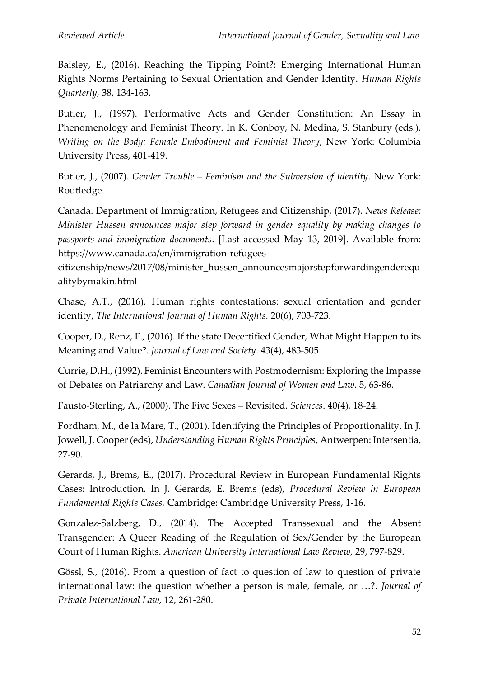Baisley, E., (2016). Reaching the Tipping Point?: Emerging International Human Rights Norms Pertaining to Sexual Orientation and Gender Identity. *Human Rights Quarterly,* 38, 134-163.

Butler, J., (1997). Performative Acts and Gender Constitution: An Essay in Phenomenology and Feminist Theory. In K. Conboy, N. Medina, S. Stanbury (eds.), *Writing on the Body: Female Embodiment and Feminist Theory*, New York: Columbia University Press, 401-419.

Butler, J., (2007). *Gender Trouble – Feminism and the Subversion of Identity*. New York: Routledge.

Canada. Department of Immigration, Refugees and Citizenship, (2017). *News Release: Minister Hussen announces major step forward in gender equality by making changes to passports and immigration documents*. [Last accessed May 13, 2019]. Available from: https://www.canada.ca/en/immigration-refugees-

citizenship/news/2017/08/minister\_hussen\_announcesmajorstepforwardingenderequ alitybymakin.html

Chase, A.T., (2016). Human rights contestations: sexual orientation and gender identity, *The International Journal of Human Rights.* 20(6), 703-723.

Cooper, D., Renz, F., (2016). If the state Decertified Gender, What Might Happen to its Meaning and Value?. *Journal of Law and Society*. 43(4), 483-505.

Currie, D.H., (1992). Feminist Encounters with Postmodernism: Exploring the Impasse of Debates on Patriarchy and Law. *Canadian Journal of Women and Law*. 5, 63-86.

Fausto-Sterling, A., (2000). The Five Sexes – Revisited. *Sciences*. 40(4), 18-24.

Fordham, M., de la Mare, T., (2001). Identifying the Principles of Proportionality. In J. Jowell, J. Cooper (eds), *Understanding Human Rights Principles*, Antwerpen: Intersentia, 27-90.

Gerards, J., Brems, E., (2017). Procedural Review in European Fundamental Rights Cases: Introduction. In J. Gerards, E. Brems (eds), *Procedural Review in European Fundamental Rights Cases,* Cambridge: Cambridge University Press, 1-16.

Gonzalez-Salzberg, D., (2014). The Accepted Transsexual and the Absent Transgender: A Queer Reading of the Regulation of Sex/Gender by the European Court of Human Rights. *American University International Law Review,* 29, 797-829.

Gössl, S., (2016). From a question of fact to question of law to question of private international law: the question whether a person is male, female, or …?. *Journal of Private International Law,* 12, 261-280.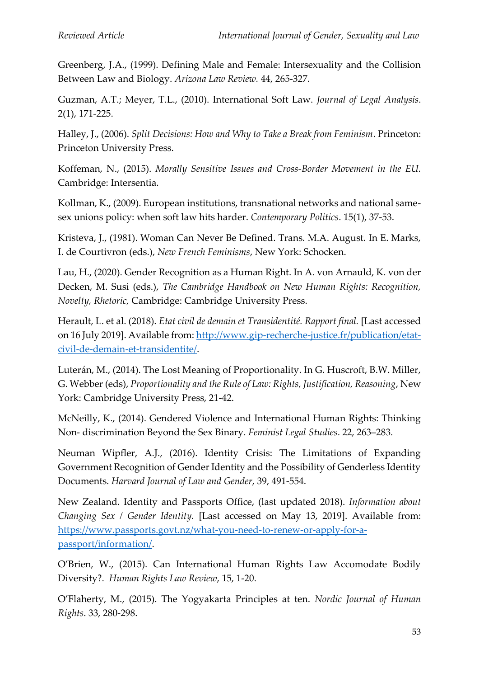Greenberg, J.A., (1999). Defining Male and Female: Intersexuality and the Collision Between Law and Biology. *Arizona Law Review.* 44, 265-327.

Guzman, A.T.; Meyer, T.L., (2010). International Soft Law. *Journal of Legal Analysis*. 2(1), 171-225.

Halley, J., (2006). *Split Decisions: How and Why to Take a Break from Feminism*. Princeton: Princeton University Press.

Koffeman, N., (2015). *Morally Sensitive Issues and Cross-Border Movement in the EU.*  Cambridge: Intersentia.

Kollman, K., (2009). European institutions, transnational networks and national samesex unions policy: when soft law hits harder. *Contemporary Politics*. 15(1), 37-53.

Kristeva, J., (1981). Woman Can Never Be Defined. Trans. M.A. August. In E. Marks, I. de Courtivron (eds.), *New French Feminisms*, New York: Schocken.

Lau, H., (2020). Gender Recognition as a Human Right. In A. von Arnauld, K. von der Decken, M. Susi (eds.), *The Cambridge Handbook on New Human Rights: Recognition, Novelty, Rhetoric,* Cambridge: Cambridge University Press.

Herault, L. et al. (2018). *Etat civil de demain et Transidentité. Rapport final.* [Last accessed on 16 July 2019]. Available from: [http://www.gip-recherche-justice.fr/publication/etat](http://www.gip-recherche-justice.fr/publication/etat-civil-de-demain-et-transidentite/)[civil-de-demain-et-transidentite/.](http://www.gip-recherche-justice.fr/publication/etat-civil-de-demain-et-transidentite/)

Luterán, M., (2014). The Lost Meaning of Proportionality. In G. Huscroft, B.W. Miller, G. Webber (eds), *Proportionality and the Rule of Law: Rights, Justification, Reasoning*, New York: Cambridge University Press, 21-42.

McNeilly, K., (2014). Gendered Violence and International Human Rights: Thinking Non- discrimination Beyond the Sex Binary. *Feminist Legal Studies*. 22, 263–283.

Neuman Wipfler, A.J., (2016). Identity Crisis: The Limitations of Expanding Government Recognition of Gender Identity and the Possibility of Genderless Identity Documents. *Harvard Journal of Law and Gender*, 39, 491-554.

New Zealand. Identity and Passports Office, (last updated 2018). *Information about Changing Sex / Gender Identity.* [Last accessed on May 13, 2019]. Available from: [https://www.passports.govt.nz/what-you-need-to-renew-or-apply-for-a](https://www.passports.govt.nz/what-you-need-to-renew-or-apply-for-a-passport/information/)[passport/information/.](https://www.passports.govt.nz/what-you-need-to-renew-or-apply-for-a-passport/information/)

O'Brien, W., (2015). Can International Human Rights Law Accomodate Bodily Diversity?. *Human Rights Law Review*, 15, 1-20.

O'Flaherty, M., (2015). The Yogyakarta Principles at ten. *Nordic Journal of Human Rights*. 33, 280-298.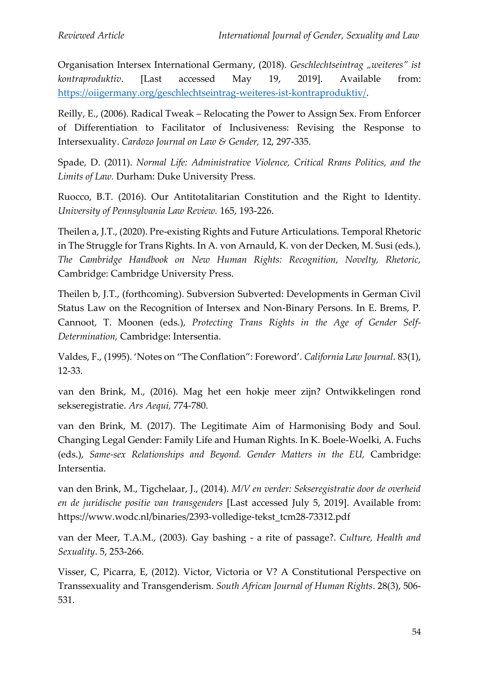Organisation Intersex International Germany, (2018). *Geschlechtseintrag "weiteres" ist kontraproduktiv*. [Last accessed May 19, 2019]. Available from: [https://oiigermany.org/geschlechtseintrag-weiteres-ist-kontraproduktiv/.](https://oiigermany.org/geschlechtseintrag-weiteres-ist-kontraproduktiv/)

Reilly, E., (2006). Radical Tweak – Relocating the Power to Assign Sex. From Enforcer of Differentiation to Facilitator of Inclusiveness: Revising the Response to Intersexuality. *Cardozo Journal on Law & Gender,* 12, 297-335.

Spade, D. (2011). *Normal Life: Administrative Violence, Critical Rrans Politics, and the Limits of Law.* Durham: Duke University Press.

Ruocco, B.T. (2016). Our Antitotalitarian Constitution and the Right to Identity. *University of Pennsylvania Law Review.* 165, 193-226.

Theilen a, J.T., (2020). Pre-existing Rights and Future Articulations. Temporal Rhetoric in The Struggle for Trans Rights. In A. von Arnauld, K. von der Decken, M. Susi (eds.), *The Cambridge Handbook on New Human Rights: Recognition, Novelty, Rhetoric,*  Cambridge: Cambridge University Press.

Theilen b, J.T., (forthcoming). Subversion Subverted: Developments in German Civil Status Law on the Recognition of Intersex and Non-Binary Persons. In E. Brems, P. Cannoot, T. Moonen (eds.), *Protecting Trans Rights in the Age of Gender Self-Determination,* Cambridge: Intersentia.

Valdes, F., (1995). 'Notes on "The Conflation": Foreword'. *California Law Journal*. 83(1), 12-33.

van den Brink, M., (2016). Mag het een hokje meer zijn? Ontwikkelingen rond sekseregistratie. *Ars Aequi,* 774-780.

van den Brink, M. (2017). The Legitimate Aim of Harmonising Body and Soul. Changing Legal Gender: Family Life and Human Rights. In K. Boele-Woelki, A. Fuchs (eds.), *Same-sex Relationships and Beyond. Gender Matters in the EU,* Cambridge: Intersentia.

van den Brink, M., Tigchelaar, J., (2014). *M/V en verder: Sekseregistratie door de overheid en de juridische positie van transgenders* [Last accessed July 5, 2019]. Available from: https://www.wodc.nl/binaries/2393-volledige-tekst\_tcm28-73312.pdf

van der Meer, T.A.M., (2003). Gay bashing - a rite of passage?. *Culture, Health and Sexuality*. 5, 253-266.

Visser, C, Picarra, E, (2012). Victor, Victoria or V? A Constitutional Perspective on Transsexuality and Transgenderism. *South African Journal of Human Rights*. 28(3), 506- 531.